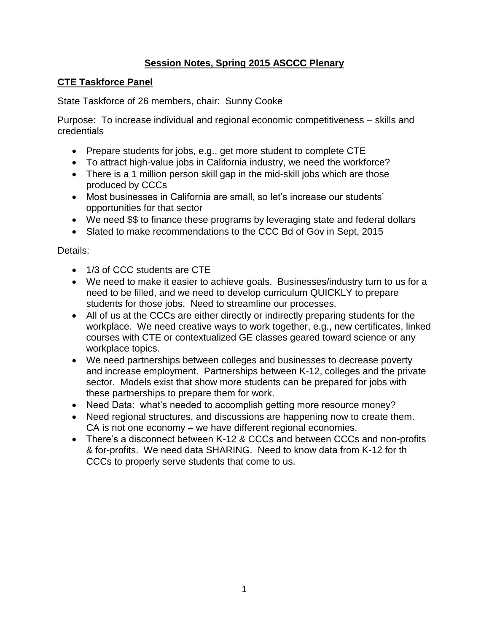## **Session Notes, Spring 2015 ASCCC Plenary**

## **CTE Taskforce Panel**

State Taskforce of 26 members, chair: Sunny Cooke

Purpose: To increase individual and regional economic competitiveness – skills and credentials

- Prepare students for jobs, e.g., get more student to complete CTE
- To attract high-value jobs in California industry, we need the workforce?
- There is a 1 million person skill gap in the mid-skill jobs which are those produced by CCCs
- Most businesses in California are small, so let's increase our students' opportunities for that sector
- We need \$\$ to finance these programs by leveraging state and federal dollars
- Slated to make recommendations to the CCC Bd of Gov in Sept, 2015

#### Details:

- 1/3 of CCC students are CTE
- We need to make it easier to achieve goals. Businesses/industry turn to us for a need to be filled, and we need to develop curriculum QUICKLY to prepare students for those jobs. Need to streamline our processes.
- All of us at the CCCs are either directly or indirectly preparing students for the workplace. We need creative ways to work together, e.g., new certificates, linked courses with CTE or contextualized GE classes geared toward science or any workplace topics.
- We need partnerships between colleges and businesses to decrease poverty and increase employment. Partnerships between K-12, colleges and the private sector. Models exist that show more students can be prepared for jobs with these partnerships to prepare them for work.
- Need Data: what's needed to accomplish getting more resource money?
- Need regional structures, and discussions are happening now to create them. CA is not one economy – we have different regional economies.
- There's a disconnect between K-12 & CCCs and between CCCs and non-profits & for-profits. We need data SHARING. Need to know data from K-12 for th CCCs to properly serve students that come to us.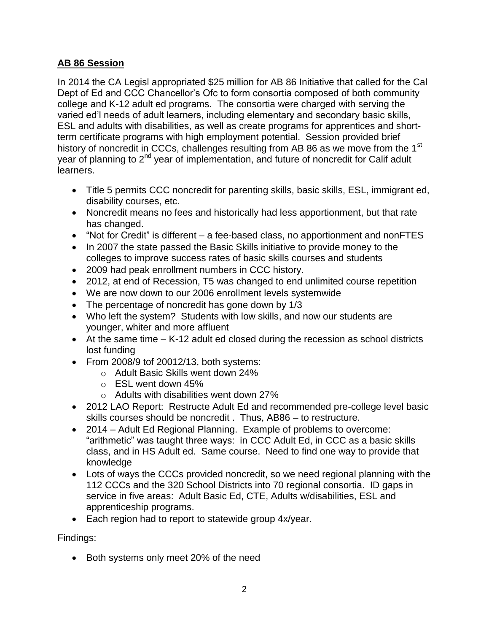## **AB 86 Session**

In 2014 the CA Legisl appropriated \$25 million for AB 86 Initiative that called for the Cal Dept of Ed and CCC Chancellor's Ofc to form consortia composed of both community college and K-12 adult ed programs. The consortia were charged with serving the varied ed'l needs of adult learners, including elementary and secondary basic skills, ESL and adults with disabilities, as well as create programs for apprentices and shortterm certificate programs with high employment potential. Session provided brief history of noncredit in CCCs, challenges resulting from AB 86 as we move from the 1<sup>st</sup> year of planning to 2<sup>nd</sup> year of implementation, and future of noncredit for Calif adult learners.

- Title 5 permits CCC noncredit for parenting skills, basic skills, ESL, immigrant ed, disability courses, etc.
- Noncredit means no fees and historically had less apportionment, but that rate has changed.
- "Not for Credit" is different a fee-based class, no apportionment and nonFTES
- In 2007 the state passed the Basic Skills initiative to provide money to the colleges to improve success rates of basic skills courses and students
- 2009 had peak enrollment numbers in CCC history.
- 2012, at end of Recession, T5 was changed to end unlimited course repetition
- We are now down to our 2006 enrollment levels systemwide
- The percentage of noncredit has gone down by 1/3
- Who left the system? Students with low skills, and now our students are younger, whiter and more affluent
- At the same time K-12 adult ed closed during the recession as school districts lost funding
- From 2008/9 tof 20012/13, both systems:
	- o Adult Basic Skills went down 24%
	- o ESL went down 45%
	- o Adults with disabilities went down 27%
- 2012 LAO Report: Restructe Adult Ed and recommended pre-college level basic skills courses should be noncredit . Thus, AB86 – to restructure.
- 2014 Adult Ed Regional Planning. Example of problems to overcome: "arithmetic" was taught three ways: in CCC Adult Ed, in CCC as a basic skills class, and in HS Adult ed. Same course. Need to find one way to provide that knowledge
- Lots of ways the CCCs provided noncredit, so we need regional planning with the 112 CCCs and the 320 School Districts into 70 regional consortia. ID gaps in service in five areas: Adult Basic Ed, CTE, Adults w/disabilities, ESL and apprenticeship programs.
- Each region had to report to statewide group 4x/year.

Findings:

• Both systems only meet 20% of the need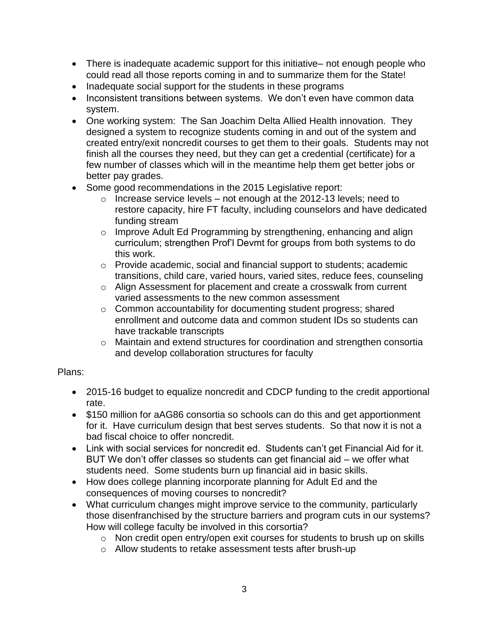- There is inadequate academic support for this initiative– not enough people who could read all those reports coming in and to summarize them for the State!
- Inadequate social support for the students in these programs
- Inconsistent transitions between systems. We don't even have common data system.
- One working system: The San Joachim Delta Allied Health innovation. They designed a system to recognize students coming in and out of the system and created entry/exit noncredit courses to get them to their goals. Students may not finish all the courses they need, but they can get a credential (certificate) for a few number of classes which will in the meantime help them get better jobs or better pay grades.
- Some good recommendations in the 2015 Legislative report:
	- $\circ$  Increase service levels not enough at the 2012-13 levels; need to restore capacity, hire FT faculty, including counselors and have dedicated funding stream
	- o Improve Adult Ed Programming by strengthening, enhancing and align curriculum; strengthen Prof'l Devmt for groups from both systems to do this work.
	- o Provide academic, social and financial support to students; academic transitions, child care, varied hours, varied sites, reduce fees, counseling
	- o Align Assessment for placement and create a crosswalk from current varied assessments to the new common assessment
	- o Common accountability for documenting student progress; shared enrollment and outcome data and common student IDs so students can have trackable transcripts
	- o Maintain and extend structures for coordination and strengthen consortia and develop collaboration structures for faculty

## Plans:

- 2015-16 budget to equalize noncredit and CDCP funding to the credit apportional rate.
- \$150 million for aAG86 consortia so schools can do this and get apportionment for it. Have curriculum design that best serves students. So that now it is not a bad fiscal choice to offer noncredit.
- Link with social services for noncredit ed. Students can't get Financial Aid for it. BUT We don't offer classes so students can get financial aid – we offer what students need. Some students burn up financial aid in basic skills.
- How does college planning incorporate planning for Adult Ed and the consequences of moving courses to noncredit?
- What curriculum changes might improve service to the community, particularly those disenfranchised by the structure barriers and program cuts in our systems? How will college faculty be involved in this corsortia?
	- o Non credit open entry/open exit courses for students to brush up on skills
	- o Allow students to retake assessment tests after brush-up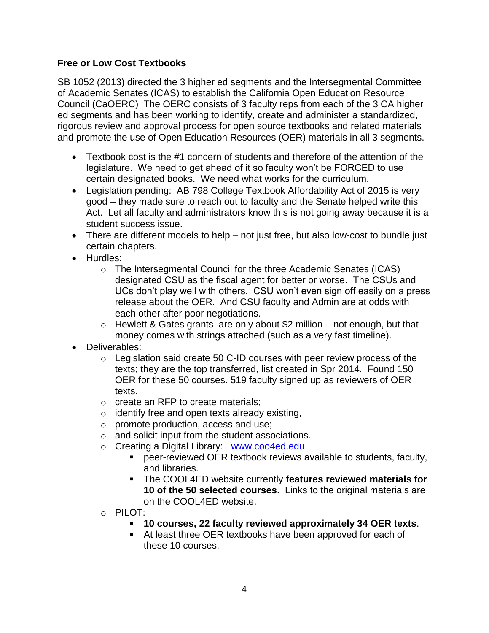## **Free or Low Cost Textbooks**

SB 1052 (2013) directed the 3 higher ed segments and the Intersegmental Committee of Academic Senates (ICAS) to establish the California Open Education Resource Council (CaOERC) The OERC consists of 3 faculty reps from each of the 3 CA higher ed segments and has been working to identify, create and administer a standardized, rigorous review and approval process for open source textbooks and related materials and promote the use of Open Education Resources (OER) materials in all 3 segments.

- Textbook cost is the #1 concern of students and therefore of the attention of the legislature. We need to get ahead of it so faculty won't be FORCED to use certain designated books. We need what works for the curriculum.
- Legislation pending: AB 798 College Textbook Affordability Act of 2015 is very good – they made sure to reach out to faculty and the Senate helped write this Act. Let all faculty and administrators know this is not going away because it is a student success issue.
- There are different models to help not just free, but also low-cost to bundle just certain chapters.
- Hurdles:
	- o The Intersegmental Council for the three Academic Senates (ICAS) designated CSU as the fiscal agent for better or worse. The CSUs and UCs don't play well with others. CSU won't even sign off easily on a press release about the OER. And CSU faculty and Admin are at odds with each other after poor negotiations.
	- $\circ$  Hewlett & Gates grants are only about \$2 million not enough, but that money comes with strings attached (such as a very fast timeline).
- Deliverables:
	- o Legislation said create 50 C-ID courses with peer review process of the texts; they are the top transferred, list created in Spr 2014. Found 150 OER for these 50 courses. 519 faculty signed up as reviewers of OER texts.
	- o create an RFP to create materials;
	- $\circ$  identify free and open texts already existing,
	- o promote production, access and use;
	- o and solicit input from the student associations.
	- o Creating a Digital Library: [www.coo4ed.edu](http://www.coo4ed.edu/)
		- peer-reviewed OER textbook reviews available to students, faculty, and libraries.
		- The COOL4ED website currently **features reviewed materials for 10 of the 50 selected courses**. Links to the original materials are on the COOL4ED website.
	- $\circ$  PILOT:
		- **10 courses, 22 faculty reviewed approximately 34 OER texts**.
		- At least three OER textbooks have been approved for each of these 10 courses.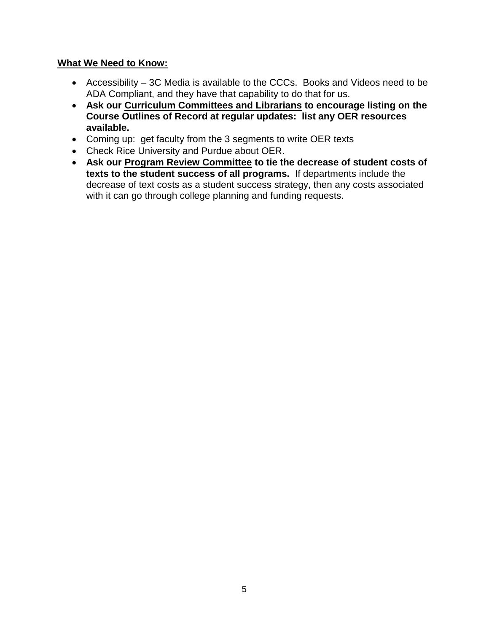#### **What We Need to Know:**

- Accessibility 3C Media is available to the CCCs. Books and Videos need to be ADA Compliant, and they have that capability to do that for us.
- **Ask our Curriculum Committees and Librarians to encourage listing on the Course Outlines of Record at regular updates: list any OER resources available.**
- Coming up: get faculty from the 3 segments to write OER texts
- Check Rice University and Purdue about OER.
- **Ask our Program Review Committee to tie the decrease of student costs of texts to the student success of all programs.** If departments include the decrease of text costs as a student success strategy, then any costs associated with it can go through college planning and funding requests.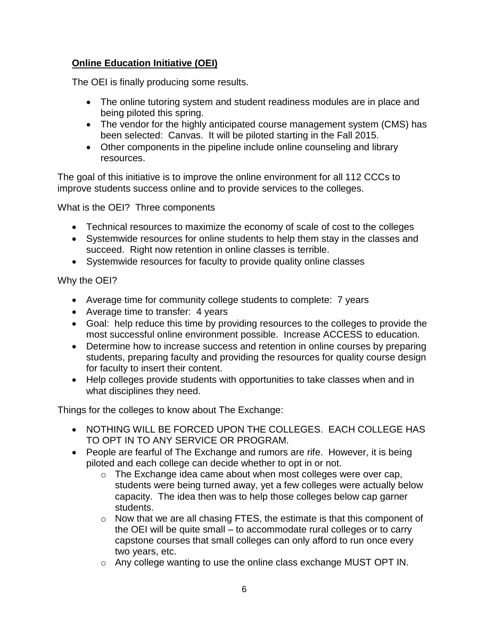## **Online Education Initiative (OEI)**

The OEI is finally producing some results.

- The online tutoring system and student readiness modules are in place and being piloted this spring.
- The vendor for the highly anticipated course management system (CMS) has been selected: Canvas. It will be piloted starting in the Fall 2015.
- Other components in the pipeline include online counseling and library resources.

The goal of this initiative is to improve the online environment for all 112 CCCs to improve students success online and to provide services to the colleges.

What is the OEI? Three components

- Technical resources to maximize the economy of scale of cost to the colleges
- Systemwide resources for online students to help them stay in the classes and succeed. Right now retention in online classes is terrible.
- Systemwide resources for faculty to provide quality online classes

## Why the OEI?

- Average time for community college students to complete: 7 years
- Average time to transfer: 4 years
- Goal: help reduce this time by providing resources to the colleges to provide the most successful online environment possible. Increase ACCESS to education.
- Determine how to increase success and retention in online courses by preparing students, preparing faculty and providing the resources for quality course design for faculty to insert their content.
- Help colleges provide students with opportunities to take classes when and in what disciplines they need.

Things for the colleges to know about The Exchange:

- NOTHING WILL BE FORCED UPON THE COLLEGES. EACH COLLEGE HAS TO OPT IN TO ANY SERVICE OR PROGRAM.
- People are fearful of The Exchange and rumors are rife. However, it is being piloted and each college can decide whether to opt in or not.
	- o The Exchange idea came about when most colleges were over cap, students were being turned away, yet a few colleges were actually below capacity. The idea then was to help those colleges below cap garner students.
	- o Now that we are all chasing FTES, the estimate is that this component of the OEI will be quite small – to accommodate rural colleges or to carry capstone courses that small colleges can only afford to run once every two years, etc.
	- o Any college wanting to use the online class exchange MUST OPT IN.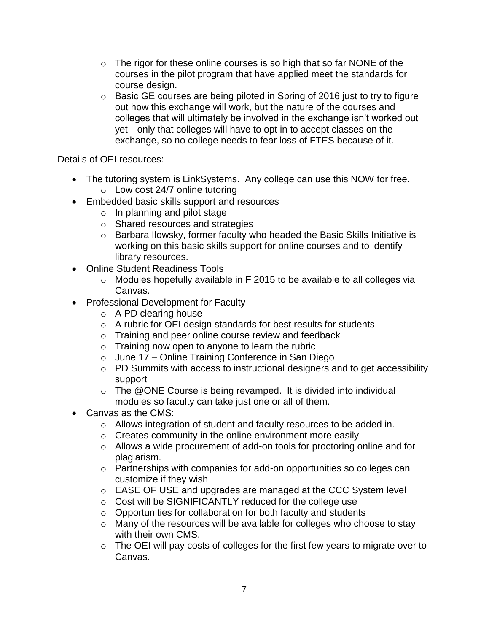- $\circ$  The rigor for these online courses is so high that so far NONE of the courses in the pilot program that have applied meet the standards for course design.
- o Basic GE courses are being piloted in Spring of 2016 just to try to figure out how this exchange will work, but the nature of the courses and colleges that will ultimately be involved in the exchange isn't worked out yet—only that colleges will have to opt in to accept classes on the exchange, so no college needs to fear loss of FTES because of it.

Details of OEI resources:

- The tutoring system is LinkSystems. Any college can use this NOW for free.
	- o Low cost 24/7 online tutoring
- Embedded basic skills support and resources
	- $\circ$  In planning and pilot stage
	- o Shared resources and strategies
	- o Barbara Ilowsky, former faculty who headed the Basic Skills Initiative is working on this basic skills support for online courses and to identify library resources.
- Online Student Readiness Tools
	- o Modules hopefully available in F 2015 to be available to all colleges via Canvas.
- Professional Development for Faculty
	- o A PD clearing house
	- o A rubric for OEI design standards for best results for students
	- o Training and peer online course review and feedback
	- $\circ$  Training now open to anyone to learn the rubric
	- o June 17 Online Training Conference in San Diego
	- o PD Summits with access to instructional designers and to get accessibility support
	- $\circ$  The @ONE Course is being revamped. It is divided into individual modules so faculty can take just one or all of them.
- Canvas as the CMS:
	- o Allows integration of student and faculty resources to be added in.
	- $\circ$  Creates community in the online environment more easily
	- o Allows a wide procurement of add-on tools for proctoring online and for plagiarism.
	- o Partnerships with companies for add-on opportunities so colleges can customize if they wish
	- o EASE OF USE and upgrades are managed at the CCC System level
	- o Cost will be SIGNIFICANTLY reduced for the college use
	- o Opportunities for collaboration for both faculty and students
	- o Many of the resources will be available for colleges who choose to stay with their own CMS.
	- o The OEI will pay costs of colleges for the first few years to migrate over to Canvas.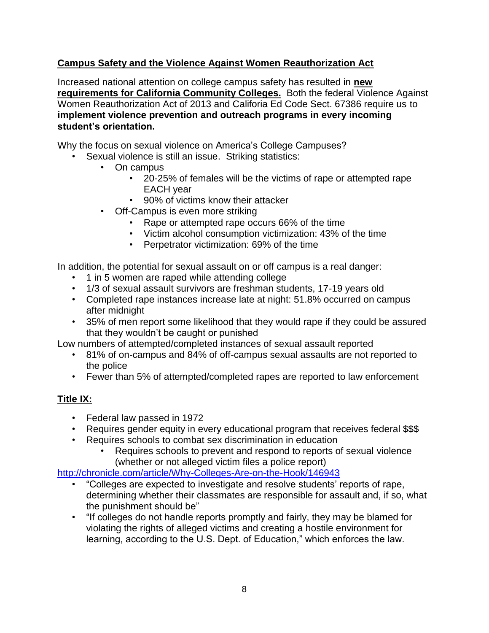## **Campus Safety and the Violence Against Women Reauthorization Act**

Increased national attention on college campus safety has resulted in **new requirements for California Community Colleges.** Both the federal Violence Against Women Reauthorization Act of 2013 and Califoria Ed Code Sect. 67386 require us to **implement violence prevention and outreach programs in every incoming student's orientation.**

Why the focus on sexual violence on America's College Campuses?

- Sexual violence is still an issue. Striking statistics:
	- On campus
		- 20-25% of females will be the victims of rape or attempted rape EACH year
		- 90% of victims know their attacker
	- Off-Campus is even more striking
		- Rape or attempted rape occurs 66% of the time
		- Victim alcohol consumption victimization: 43% of the time
		- Perpetrator victimization: 69% of the time

In addition, the potential for sexual assault on or off campus is a real danger:

- 1 in 5 women are raped while attending college
- 1/3 of sexual assault survivors are freshman students, 17-19 years old
- Completed rape instances increase late at night: 51.8% occurred on campus after midnight
- 35% of men report some likelihood that they would rape if they could be assured that they wouldn't be caught or punished

Low numbers of attempted/completed instances of sexual assault reported

- 81% of on-campus and 84% of off-campus sexual assaults are not reported to the police
- Fewer than 5% of attempted/completed rapes are reported to law enforcement

## **Title IX:**

- Federal law passed in 1972
- Requires gender equity in every educational program that receives federal \$\$\$
- Requires schools to combat sex discrimination in education
	- Requires schools to prevent and respond to reports of sexual violence (whether or not alleged victim files a police report)

<http://chronicle.com/article/Why-Colleges-Are-on-the-Hook/146943>

- "Colleges are expected to investigate and resolve students' reports of rape, determining whether their classmates are responsible for assault and, if so, what the punishment should be"
- "If colleges do not handle reports promptly and fairly, they may be blamed for violating the rights of alleged victims and creating a hostile environment for learning, according to the U.S. Dept. of Education," which enforces the law.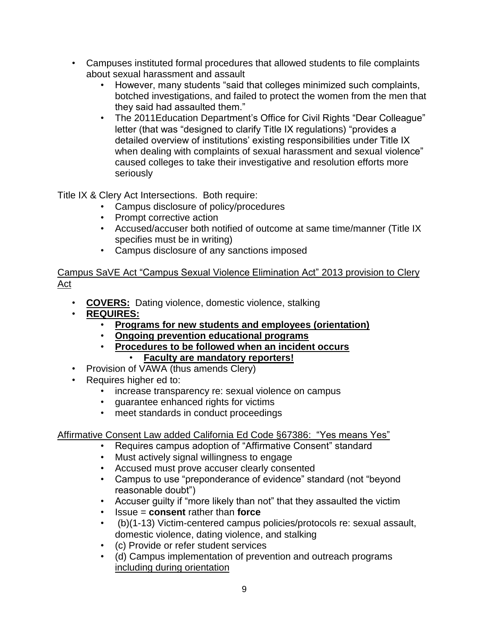- Campuses instituted formal procedures that allowed students to file complaints about sexual harassment and assault
	- However, many students "said that colleges minimized such complaints, botched investigations, and failed to protect the women from the men that they said had assaulted them."
	- The 2011Education Department's Office for Civil Rights "Dear Colleague" letter (that was "designed to clarify Title IX regulations) "provides a detailed overview of institutions' existing responsibilities under Title IX when dealing with complaints of sexual harassment and sexual violence" caused colleges to take their investigative and resolution efforts more seriously

Title IX & Clery Act Intersections. Both require:

- Campus disclosure of policy/procedures
- Prompt corrective action
- Accused/accuser both notified of outcome at same time/manner (Title IX specifies must be in writing)
- Campus disclosure of any sanctions imposed

Campus SaVE Act "Campus Sexual Violence Elimination Act" 2013 provision to Clery Act

- **COVERS:** Dating violence, domestic violence, stalking
- **REQUIRES:**
	- **Programs for new students and employees (orientation)**
	- **Ongoing prevention educational programs**
	- **Procedures to be followed when an incident occurs** • **Faculty are mandatory reporters!**
- Provision of VAWA (thus amends Clery)
- Requires higher ed to:
	- increase transparency re: sexual violence on campus<br>• quarantee enhanced rights for victims
	- guarantee enhanced rights for victims
	- meet standards in conduct proceedings

# Affirmative Consent Law added California Ed Code §67386: "Yes means Yes"

- Requires campus adoption of "Affirmative Consent" standard
- Must actively signal willingness to engage
- Accused must prove accuser clearly consented
- Campus to use "preponderance of evidence" standard (not "beyond reasonable doubt")
- Accuser guilty if "more likely than not" that they assaulted the victim
- Issue = **consent** rather than **force**
- (b)(1-13) Victim-centered campus policies/protocols re: sexual assault, domestic violence, dating violence, and stalking
- (c) Provide or refer student services
- (d) Campus implementation of prevention and outreach programs including during orientation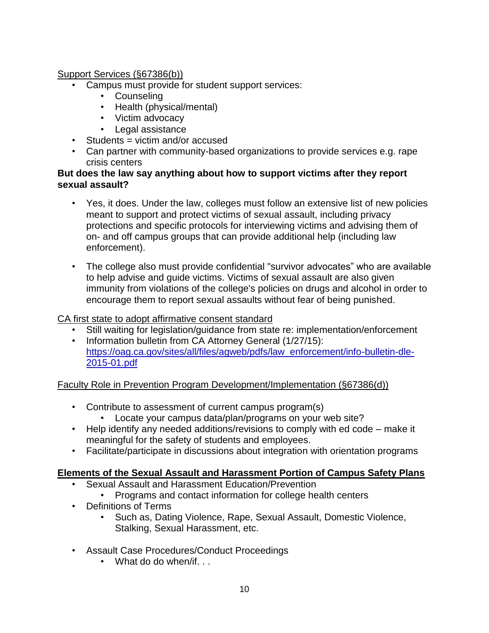## Support Services (§67386(b))

- Campus must provide for student support services:
	- Counseling
	- Health (physical/mental)
	- Victim advocacy
	- Legal assistance
- Students = victim and/or accused
- Can partner with community-based organizations to provide services e.g. rape crisis centers

#### **But does the law say anything about how to support victims after they report sexual assault?**

- Yes, it does. Under the law, colleges must follow an extensive list of new policies meant to support and protect victims of sexual assault, including privacy protections and specific protocols for interviewing victims and advising them of on- and off campus groups that can provide additional help (including law enforcement).
- The college also must provide confidential "survivor advocates" who are available to help advise and guide victims. Victims of sexual assault are also given immunity from violations of the college's policies on drugs and alcohol in order to encourage them to report sexual assaults without fear of being punished.

## CA first state to adopt affirmative consent standard

- Still waiting for legislation/guidance from state re: implementation/enforcement
- Information bulletin from CA Attorney General (1/27/15): [https://oag.ca.gov/sites/all/files/agweb/pdfs/law\\_enforcement/info-bulletin-dle-](https://oag.ca.gov/sites/all/files/agweb/pdfs/law_enforcement/info-bulletin-dle-2015-01.pdf)[2015-01.pdf](https://oag.ca.gov/sites/all/files/agweb/pdfs/law_enforcement/info-bulletin-dle-2015-01.pdf)

Faculty Role in Prevention Program Development/Implementation (§67386(d))

- Contribute to assessment of current campus program(s)
	- Locate your campus data/plan/programs on your web site?
- Help identify any needed additions/revisions to comply with ed code make it meaningful for the safety of students and employees.
- Facilitate/participate in discussions about integration with orientation programs

## **Elements of the Sexual Assault and Harassment Portion of Campus Safety Plans**

- Sexual Assault and Harassment Education/Prevention
	- Programs and contact information for college health centers
- Definitions of Terms
	- Such as, Dating Violence, Rape, Sexual Assault, Domestic Violence, Stalking, Sexual Harassment, etc.
- Assault Case Procedures/Conduct Proceedings
	- What do do when/if. . .